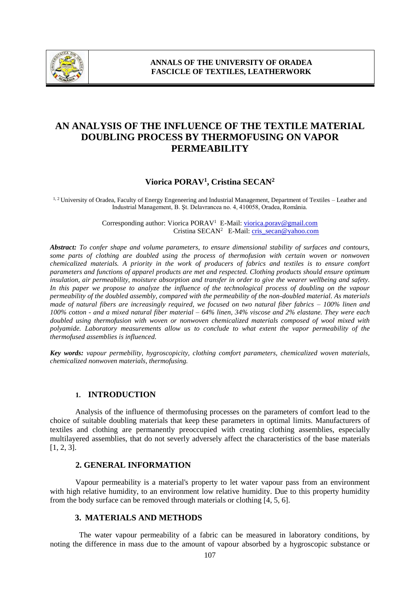

# **AN ANALYSIS OF THE INFLUENCE OF THE TEXTILE MATERIAL DOUBLING PROCESS BY THERMOFUSING ON VAPOR PERMEABILITY**

# **Viorica PORAV<sup>1</sup> , Cristina SECAN<sup>2</sup>**

<sup>1, 2</sup> University of Oradea, Faculty of Energy Engeneering and Industrial Management, Department of Textiles – Leather and Industrial Management, B. Şt. Delavrancea no. 4, 410058, Oradea, România.

> Corresponding author: Viorica PORAV<sup>1</sup> E-Mail: [viorica.porav@gmail.com](mailto:viorica.porav@gmail.com) Cristina SECAN<sup>2</sup> E-Mail: cris\_secan@yahoo.com

*Abstract: To confer shape and volume parameters, to ensure dimensional stability of surfaces and contours, some parts of clothing are doubled using the process of thermofusion with certain woven or nonwoven chemicalized materials. A priority in the work of producers of fabrics and textiles is to ensure comfort parameters and functions of apparel products are met and respected. Clothing products should ensure optimum*  insulation, air permeability, moisture absorption and transfer in order to give the wearer wellbeing and safety. *In this paper we propose to analyze the influence of the technological process of doubling on the vapour permeability of the doubled assembly, compared with the permeability of the non-doubled material. As materials made of natural fibers are increasingly required, we focused on two natural fiber fabrics – 100% linen and 100% cotton - and a mixed natural fiber material – 64% linen, 34% viscose and 2% elastane. They were each doubled using thermofusion with woven or nonwoven chemicalized materials composed of wool mixed with polyamide. Laboratory measurements allow us to conclude to what extent the vapor permeability of the thermofused assemblies is influenced.*

*Key words: vapour permebility, hygroscopicity, clothing comfort parameters, chemicalized woven materials, chemicalized nonwoven materials, thermofusing.*

#### **1. INTRODUCTION**

 Analysis of the influence of thermofusing processes on the parameters of comfort lead to the choice of suitable doubling materials that keep these parameters in optimal limits. Manufacturers of textiles and clothing are permanently preoccupied with creating clothing assemblies, especially multilayered assemblies, that do not severly adversely affect the characteristics of the base materials [1, 2, 3].

#### **2. GENERAL INFORMATION**

Vapour permeability is a material's property to let water vapour pass from an environment with high relative humidity, to an environment low relative humidity. Due to this property humidity from the body surface can be removed through materials or clothing [4, 5, 6].

### **3. MATERIALS AND METHODS**

 The water vapour permeability of a fabric can be measured in laboratory conditions, by noting the difference in mass due to the amount of vapour absorbed by a hygroscopic substance or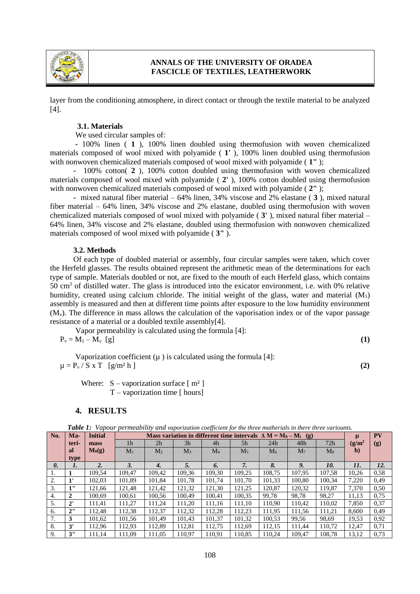

## **ANNALS OF THE UNIVERSITY OF ORADEA FASCICLE OF TEXTILES, LEATHERWORK**

layer from the conditioning atmosphere, in direct contact or through the textile material to be analyzed [4].

#### **3.1. Materials**

#### We used circular samples of:

 **-** 100% linen ( **1** ), 100% linen doubled using thermofusion with woven chemicalized materials composed of wool mixed with polyamide ( **1'** ), 100% linen doubled using thermofusion with nonwoven chemicalized materials composed of wool mixed with polyamide ( **1"** );

 **-** 100% cotton( **2** ), 100% cotton doubled using thermofusion with woven chemicalized materials composed of wool mixed with polyamide ( **2'** ), 100% cotton doubled using thermofusion with nonwoven chemicalized materials composed of wool mixed with polyamide ( **2"** );

 **-** mixed natural fiber material – 64% linen, 34% viscose and 2% elastane ( **3** ), mixed natural fiber material – 64% linen, 34% viscose and 2% elastane, doubled using thermofusion with woven chemicalized materials composed of wool mixed with polyamide ( **3'** ), mixed natural fiber material – 64% linen, 34% viscose and 2% elastane, doubled using thermofusion with nonwoven chemicalized materials composed of wool mixed with polyamide ( **3"** ).

#### **3.2. Methods**

 Of each type of doubled material or assembly, four circular samples were taken, which cover the Herfeld glasses. The results obtained represent the arithmetic mean of the determinations for each type of sample. Materials doubled or not, are fixed to the mouth of each Herfeld glass, which contains 50 cm<sup>3</sup> of distilled water. The glass is introduced into the exicator environment, i.e. with 0% relative humidity, created using calcium chloride. The initial weight of the glass, water and material  $(M_1)$ assembly is measured and then at different time points after exposure to the low humidity environment  $(M<sub>v</sub>)$ . The difference in mass allows the calculation of the vaporisation index or of the vapor passage resistance of a material or a doubled textile assembly[4].

Vapor permeability is calculated using the formula [4]:  $P_v = M_1 - M_v$  [g] (1)

Vaporization coefficient  $(\mu)$  is calculated using the formula [4]:  $\mu = P_v / S \times T$  [g/m<sup>2</sup> h ] **(2) (2)** 

Where:  $S -$ vaporization surface  $[m^2]$  $T$  – vaporization time [ hours]

#### **4. RESULTS**

|  |  |  | Table 1: Vapour permeability and vaporization coefficient for the three matherials in there three variounts. |
|--|--|--|--------------------------------------------------------------------------------------------------------------|
|  |  |  |                                                                                                              |

| No. | Ma-                   | <b>Initial</b>   | Mass variation in different time intervals $\Delta M = M_0 - M_i$ (g) |                |        |           |        |        |                | μ      | <b>PV</b>    |      |
|-----|-----------------------|------------------|-----------------------------------------------------------------------|----------------|--------|-----------|--------|--------|----------------|--------|--------------|------|
|     | teri-                 | mass             | 1 <sub>h</sub>                                                        | 2 <sub>h</sub> | 3h     | 4h        | 5h     | 24h    | 48h            | 72h    | $(g/m^2)$    | (g)  |
|     | al                    | $M_0(g)$         | $M_1$                                                                 | M <sub>2</sub> | $M_3$  | $\rm M_4$ | $M_5$  | $M_6$  | M <sub>7</sub> | $M_8$  | $\mathbf{h}$ |      |
|     | type                  |                  |                                                                       |                |        |           |        |        |                |        |              |      |
| 0.  | 1.                    | $\overline{2}$ . | 3.                                                                    | 4.             | 5.     | 6.        | 7.     | 8.     | 9.             | 10.    | 11.          | 12.  |
| ı.  |                       | 109.54           | 109.47                                                                | 109.42         | 109.36 | 109.30    | 109.25 | 108.75 | 107.95         | 107.58 | 10.26        | 0.58 |
| 2.  | $\mathbf{1}^{\prime}$ | 102.03           | 101.89                                                                | 101.84         | 101.78 | 101.74    | 101.70 | 101.33 | 100.80         | 100.34 | 7.220        | 0.49 |
| 3.  | 1"                    | 121.66           | 121.48                                                                | 121.42         | 121.32 | 121.30    | 121.25 | 120.87 | 120,32         | 119.87 | 7,370        | 0.50 |
| 4.  |                       | 100.69           | 100.61                                                                | 100,56         | 100.49 | 100.41    | 100,35 | 99,78  | 98,78          | 98,27  | 11,13        | 0.75 |
| 5.  | $2^{\prime}$          | 111.41           | 111.27                                                                | 111.24         | 111.20 | 111.16    | 111.10 | 110.90 | 110.42         | 110.02 | 7,850        | 0,37 |
| 6.  | 2"                    | 112.48           | 112.38                                                                | 112.37         | 112.32 | 112.28    | 112.23 | 111.95 | 111.56         | 111.21 | 8.600        | 0.49 |
| 7.  | 3                     | 101.62           | 101.56                                                                | 101.49         | 101.43 | 101.37    | 101.32 | 100.53 | 99,56          | 98.69  | 19.53        | 0,92 |
| 8.  | 3'                    | 112.96           | 112.93                                                                | 112.89         | 112.81 | 112.75    | 112.69 | 112,15 | 111.44         | 110.72 | 12,47        | 0,71 |
| 9.  | 3"                    | 111.14           | 111.09                                                                | 111,05         | 110.97 | 110.91    | 110.85 | 110.24 | 109.47         | 108.78 | 13,12        | 0.73 |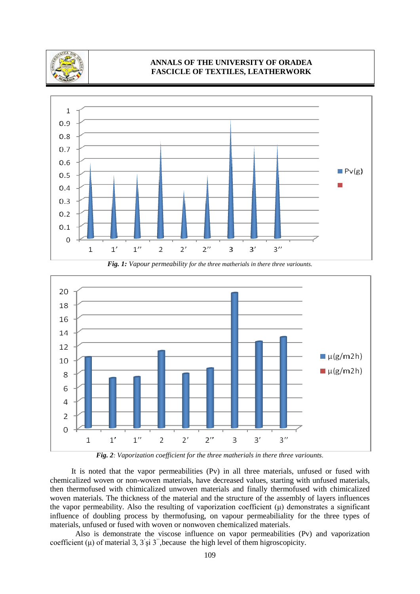

# **ANNALS OF THE UNIVERSITY OF ORADEA FASCICLE OF TEXTILES, LEATHERWORK**



*Fig. 1: Vapour permeability for the three matherials in there three variounts.*



*Fig. 2: Vaporization coefficient for the three matherials in there three variounts.*

 It is noted that the vapor permeabilities (Pv) in all three materials, unfused or fused with chemicalized woven or non-woven materials, have decreased values, starting with unfused materials, then thermofused with chimicalized unwoven materials and finally thermofused with chimicalized woven materials. The thickness of the material and the structure of the assembly of layers influences the vapor permeability. Also the resulting of vaporization coefficient  $(\mu)$  demonstrates a significant influence of doubling process by thermofusing, on vapour permeabiliality for the three types of materials, unfused or fused with woven or nonwoven chemicalized materials.

 Also is demonstrate the viscose influence on vapor permeabilities (Pv) and vaporization coefficient  $(\mu)$  of material 3, 3's i 3", because the high level of them higroscopicity.